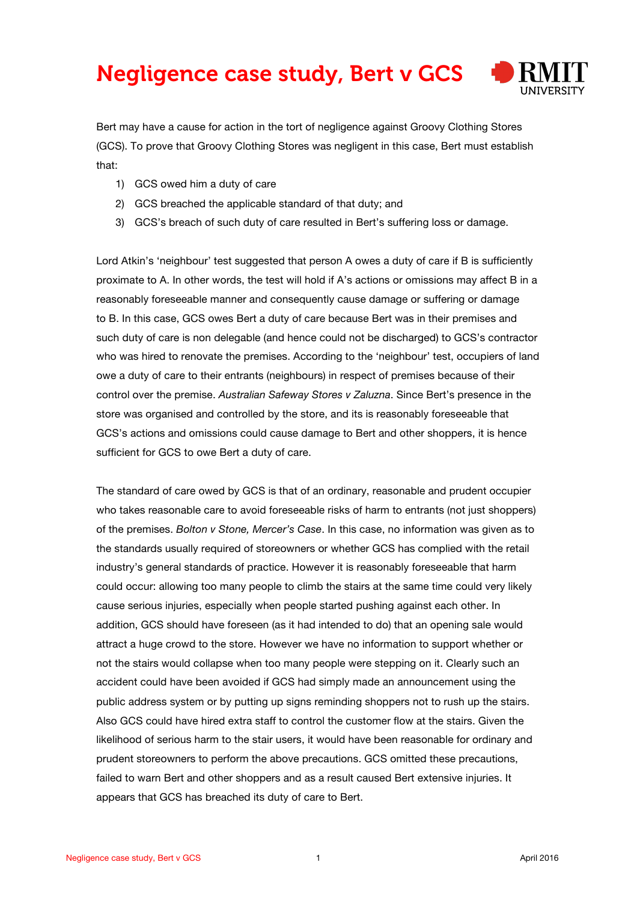## Negligence case study, Bert v GCS



Bert may have a cause for action in the tort of negligence against Groovy Clothing Stores (GCS). To prove that Groovy Clothing Stores was negligent in this case, Bert must establish that:

- 1) GCS owed him a duty of care
- 2) GCS breached the applicable standard of that duty; and
- 3) GCS's breach of such duty of care resulted in Bert's suffering loss or damage.

Lord Atkin's 'neighbour' test suggested that person A owes a duty of care if B is sufficiently proximate to A. In other words, the test will hold if A's actions or omissions may affect B in a reasonably foreseeable manner and consequently cause damage or suffering or damage to B. In this case, GCS owes Bert a duty of care because Bert was in their premises and such duty of care is non delegable (and hence could not be discharged) to GCS's contractor who was hired to renovate the premises. According to the 'neighbour' test, occupiers of land owe a duty of care to their entrants (neighbours) in respect of premises because of their control over the premise. *Australian Safeway Stores v Zaluzna*. Since Bert's presence in the store was organised and controlled by the store, and its is reasonably foreseeable that GCS's actions and omissions could cause damage to Bert and other shoppers, it is hence sufficient for GCS to owe Bert a duty of care.

The standard of care owed by GCS is that of an ordinary, reasonable and prudent occupier who takes reasonable care to avoid foreseeable risks of harm to entrants (not just shoppers) of the premises. *Bolton v Stone, Mercer's Case*. In this case, no information was given as to the standards usually required of storeowners or whether GCS has complied with the retail industry's general standards of practice. However it is reasonably foreseeable that harm could occur: allowing too many people to climb the stairs at the same time could very likely cause serious injuries, especially when people started pushing against each other. In addition, GCS should have foreseen (as it had intended to do) that an opening sale would attract a huge crowd to the store. However we have no information to support whether or not the stairs would collapse when too many people were stepping on it. Clearly such an accident could have been avoided if GCS had simply made an announcement using the public address system or by putting up signs reminding shoppers not to rush up the stairs. Also GCS could have hired extra staff to control the customer flow at the stairs. Given the likelihood of serious harm to the stair users, it would have been reasonable for ordinary and prudent storeowners to perform the above precautions. GCS omitted these precautions, failed to warn Bert and other shoppers and as a result caused Bert extensive injuries. It appears that GCS has breached its duty of care to Bert.